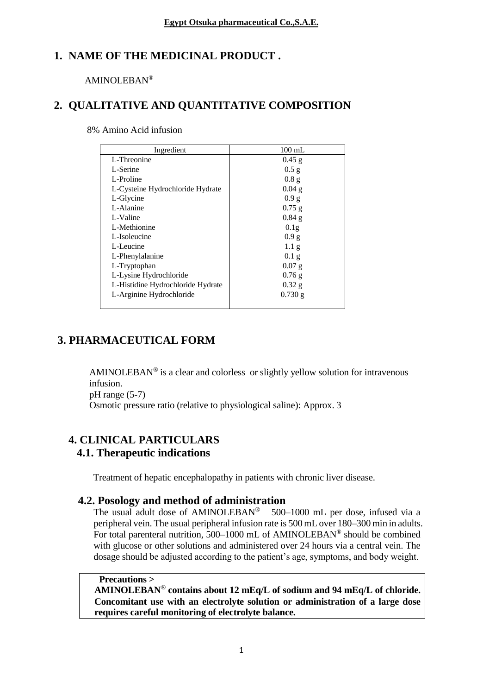# **1. NAME OF THE MEDICINAL PRODUCT .**

#### AMINOLEBAN®

## **2. QUALITATIVE AND QUANTITATIVE COMPOSITION**

| 8% Amino Acid infusion |  |  |  |  |
|------------------------|--|--|--|--|
|------------------------|--|--|--|--|

| Ingredient                        | $100$ mL         |
|-----------------------------------|------------------|
| L-Threonine                       | $0.45$ g         |
| L-Serine                          | $0.5$ g          |
| L-Proline                         | 0.8 <sub>g</sub> |
| L-Cysteine Hydrochloride Hydrate  | $0.04$ g         |
| L-Glycine                         | 0.9 g            |
| L-Alanine                         | $0.75$ g         |
| L-Valine                          | $0.84$ g         |
| L-Methionine                      | 0.1 <sub>g</sub> |
| L-Isoleucine                      | 0.9 g            |
| L-Leucine                         | 1.1 <sub>g</sub> |
| L-Phenylalanine                   | 0.1 <sub>g</sub> |
| L-Tryptophan                      | $0.07$ g         |
| L-Lysine Hydrochloride            | $0.76$ g         |
| L-Histidine Hydrochloride Hydrate | $0.32$ g         |
| L-Arginine Hydrochloride          | $0.730$ g        |
|                                   |                  |

# **3. PHARMACEUTICAL FORM**

AMINOLEBAN<sup>®</sup> is a clear and colorless or slightly yellow solution for intravenous infusion.

pH range (5-7)

Osmotic pressure ratio (relative to physiological saline): Approx. 3

## **4. CLINICAL PARTICULARS 4.1. Therapeutic indications**

Treatment of hepatic encephalopathy in patients with chronic liver disease.

## **4.2. Posology and method of administration**

The usual adult dose of AMINOLEBAN<sup>®</sup> 500-1000 mL per dose, infused via a peripheral vein. The usual peripheral infusion rate is 500 mL over 180–300 min in adults. For total parenteral nutrition, 500–1000 mL of AMINOLEBAN® should be combined with glucose or other solutions and administered over 24 hours via a central vein. The dosage should be adjusted according to the patient's age, symptoms, and body weight.

## **Precautions >**

**AMINOLEBAN**® **contains about 12 mEq/L of sodium and 94 mEq/L of chloride. Concomitant use with an electrolyte solution or administration of a large dose requires careful monitoring of electrolyte balance.**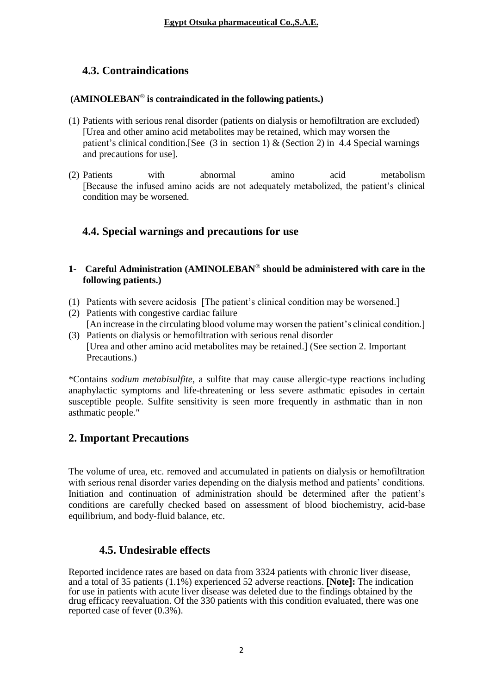# **4.3. Contraindications**

#### **(AMINOLEBAN**® **is contraindicated in the following patients.)**

- (1) Patients with serious renal disorder (patients on dialysis or hemofiltration are excluded) [Urea and other amino acid metabolites may be retained, which may worsen the patient's clinical condition. [See (3 in section 1) & (Section 2) in 4.4 Special warnings and precautions for use].
- (2) Patients with abnormal amino acid metabolism [Because the infused amino acids are not adequately metabolized, the patient's clinical condition may be worsened.

## **4.4. Special warnings and precautions for use**

#### **1- Careful Administration (AMINOLEBAN**® **should be administered with care in the following patients.)**

- (1) Patients with severe acidosis [The patient's clinical condition may be worsened.]
- (2) Patients with congestive cardiac failure [An increase in the circulating blood volume may worsen the patient's clinical condition.]
- (3) Patients on dialysis or hemofiltration with serious renal disorder [Urea and other amino acid metabolites may be retained.] (See section 2. Important Precautions.)

\*Contains *sodium metabisulfite*, a sulfite that may cause allergic-type reactions including anaphylactic symptoms and life-threatening or less severe asthmatic episodes in certain susceptible people. Sulfite sensitivity is seen more frequently in asthmatic than in non asthmatic people."

# **2. Important Precautions**

The volume of urea, etc. removed and accumulated in patients on dialysis or hemofiltration with serious renal disorder varies depending on the dialysis method and patients' conditions. Initiation and continuation of administration should be determined after the patient's conditions are carefully checked based on assessment of blood biochemistry, acid-base equilibrium, and body-fluid balance, etc.

# **4.5. Undesirable effects**

Reported incidence rates are based on data from 3324 patients with chronic liver disease, and a total of 35 patients (1.1%) experienced 52 adverse reactions. **Note:** The indication for use in patients with acute liver disease was deleted due to the findings obtained by the drug efficacy reevaluation. Of the 330 patients with this condition evaluated, there was one reported case of fever (0.3%).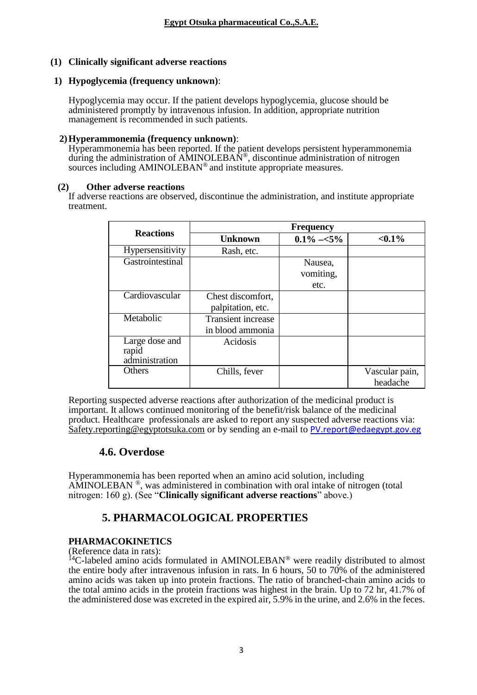#### **(1) Clinically significant adverse reactions**

#### **1) Hypoglycemia (frequency unknown)**:

Hypoglycemia may occur. If the patient develops hypoglycemia, glucose should be administered promptly by intravenous infusion. In addition, appropriate nutrition management is recommended in such patients.

#### **2)Hyperammonemia (frequency unknown)**:

Hyperammonemia has been reported. If the patient develops persistent hyperammonemia during the administration of AMINOLEBAN<sup>®</sup>, discontinue administration of nitrogen sources including AMINOLEBAN<sup>®</sup> and institute appropriate measures.

#### **(2) Other adverse reactions**

If adverse reactions are observed, discontinue the administration, and institute appropriate treatment.

|                                           | <b>Frequency</b>                              |                              |                            |  |
|-------------------------------------------|-----------------------------------------------|------------------------------|----------------------------|--|
| <b>Reactions</b>                          | <b>Unknown</b>                                | $0.1\% - 5\%$                | $< 0.1\%$                  |  |
| Hypersensitivity                          | Rash, etc.                                    |                              |                            |  |
| Gastrointestinal                          |                                               | Nausea,<br>vomiting,<br>etc. |                            |  |
| Cardiovascular                            | Chest discomfort,<br>palpitation, etc.        |                              |                            |  |
| Metabolic                                 | <b>Transient increase</b><br>in blood ammonia |                              |                            |  |
| Large dose and<br>rapid<br>administration | Acidosis                                      |                              |                            |  |
| Others                                    | Chills, fever                                 |                              | Vascular pain,<br>headache |  |

Reporting suspected adverse reactions after authorization of the medicinal product is important. It allows continued monitoring of the benefit/risk balance of the medicinal product. Healthcare professionals are asked to report any suspected adverse reactions via: [Safety.reporting@egyptotsuka.com](mailto:Safety.reporting@egyptotsuka.com) or by sending an e-mail to [PV.report@edaegypt.gov.eg](mailto:PV.report@edaegypt.gov.eg)

## **4.6. Overdose**

Hyperammonemia has been reported when an amino acid solution, including  $\overrightarrow{AMINOLEBAN}$ <sup>®</sup>, was administered in combination with oral intake of nitrogen (total nitrogen: 160 g). (See "**Clinically significant adverse reactions**" above.)

# **5. PHARMACOLOGICAL PROPERTIES**

#### **PHARMACOKINETICS**

(Reference data in rats):

 $14$ C-labeled amino acids formulated in AMINOLEBAN<sup>®</sup> were readily distributed to almost the entire body after intravenous infusion in rats. In 6 hours, 50 to 70% of the administered amino acids was taken up into protein fractions. The ratio of branched-chain amino acids to the total amino acids in the protein fractions was highest in the brain. Up to 72 hr, 41.7% of the administered dose was excreted in the expired air, 5.9% in the urine, and 2.6% in the feces.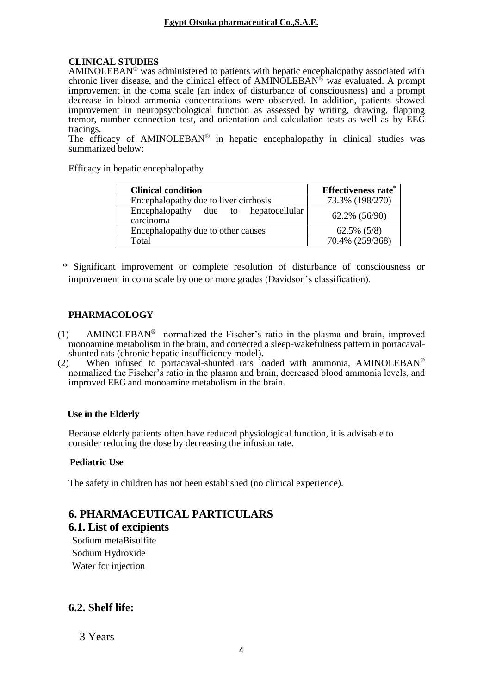## **CLINICAL STUDIES**

AMINOLEBAN<sup>®</sup> was administered to patients with hepatic encephalopathy associated with chronic liver disease, and the clinical effect of AMINOLEBAN® was evaluated. A prompt improvement in the coma scale (an index of disturbance of consciousness) and a prompt decrease in blood ammonia concentrations were observed. In addition, patients showed improvement in neuropsychological function as assessed by writing, drawing, flapping tremor, number connection test, and orientation and calculation tests as well as by EEG tracings.

The efficacy of AMINOLEBAN<sup>®</sup> in hepatic encephalopathy in clinical studies was summarized below:

Efficacy in hepatic encephalopathy

| <b>Clinical condition</b>                         | <b>Effectiveness rate*</b> |  |
|---------------------------------------------------|----------------------------|--|
| Encephalopathy due to liver cirrhosis             | 73.3% (198/270)            |  |
| Encephalopathy due to hepatocellular<br>carcinoma | 62.2% (56/90)              |  |
| Encephalopathy due to other causes                | $62.5\%$ $(5/8)$           |  |
| Total                                             | $70.4\%$ $(259/368)$       |  |

\* Significant improvement or complete resolution of disturbance of consciousness or improvement in coma scale by one or more grades (Davidson's classification).

## **PHARMACOLOGY**

- (1) AMINOLEBAN® normalized the Fischer's ratio in the plasma and brain, improved monoamine metabolism in the brain, and corrected a sleep-wakefulness pattern in portacavalshunted rats (chronic hepatic insufficiency model).
- (2) When infused to portacaval-shunted rats loaded with ammonia, AMINOLEBAN® normalized the Fischer's ratio in the plasma and brain, decreased blood ammonia levels, and improved EEG and monoamine metabolism in the brain.

#### **Use in the Elderly**

Because elderly patients often have reduced physiological function, it is advisable to consider reducing the dose by decreasing the infusion rate.

#### **Pediatric Use**

The safety in children has not been established (no clinical experience).

# **6. PHARMACEUTICAL PARTICULARS**

**6.1. List of excipients** 

Sodium metaBisulfite Sodium Hydroxide Water for injection

## **6.2. Shelf life:**

3 Years